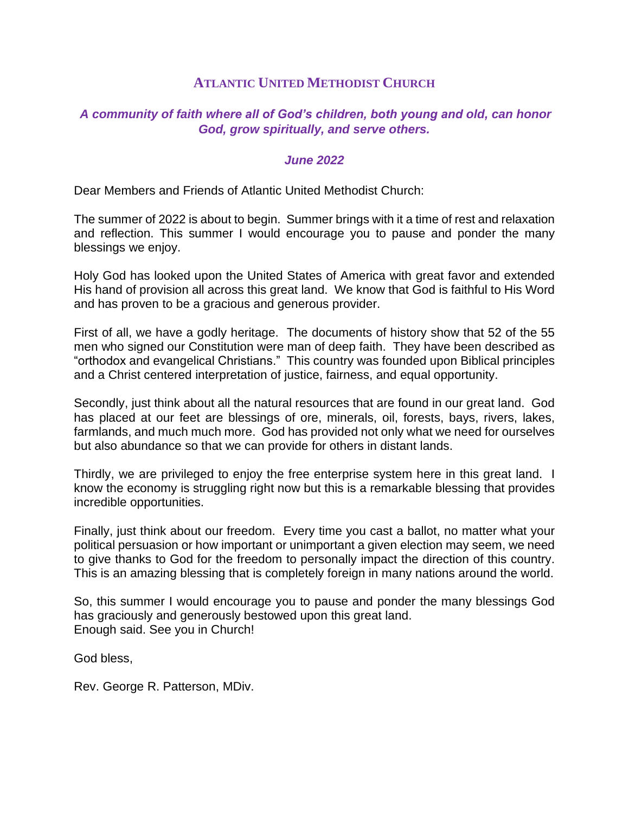# **ATLANTIC UNITED METHODIST CHURCH**

# *A community of faith where all of God's children, both young and old, can honor God, grow spiritually, and serve others.*

## *June 2022*

Dear Members and Friends of Atlantic United Methodist Church:

The summer of 2022 is about to begin. Summer brings with it a time of rest and relaxation and reflection. This summer I would encourage you to pause and ponder the many blessings we enjoy.

Holy God has looked upon the United States of America with great favor and extended His hand of provision all across this great land. We know that God is faithful to His Word and has proven to be a gracious and generous provider.

First of all, we have a godly heritage. The documents of history show that 52 of the 55 men who signed our Constitution were man of deep faith. They have been described as "orthodox and evangelical Christians." This country was founded upon Biblical principles and a Christ centered interpretation of justice, fairness, and equal opportunity.

Secondly, just think about all the natural resources that are found in our great land. God has placed at our feet are blessings of ore, minerals, oil, forests, bays, rivers, lakes, farmlands, and much much more. God has provided not only what we need for ourselves but also abundance so that we can provide for others in distant lands.

Thirdly, we are privileged to enjoy the free enterprise system here in this great land. I know the economy is struggling right now but this is a remarkable blessing that provides incredible opportunities.

Finally, just think about our freedom. Every time you cast a ballot, no matter what your political persuasion or how important or unimportant a given election may seem, we need to give thanks to God for the freedom to personally impact the direction of this country. This is an amazing blessing that is completely foreign in many nations around the world.

So, this summer I would encourage you to pause and ponder the many blessings God has graciously and generously bestowed upon this great land. Enough said. See you in Church!

God bless,

Rev. George R. Patterson, MDiv.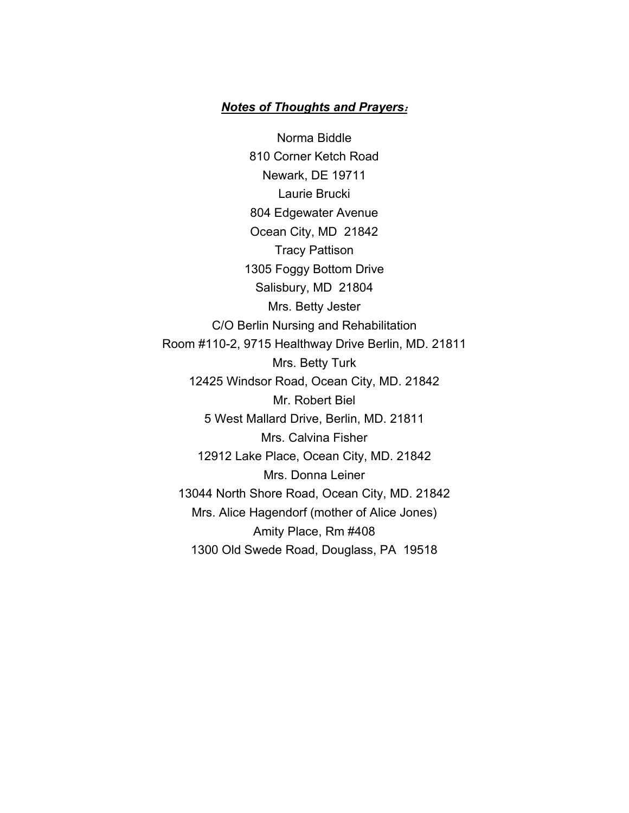## *Notes of Thoughts and Prayers***:**

Norma Biddle 810 Corner Ketch Road Newark, DE 19711 Laurie Brucki 804 Edgewater Avenue Ocean City, MD 21842 Tracy Pattison 1305 Foggy Bottom Drive Salisbury, MD 21804 Mrs. Betty Jester C/O Berlin Nursing and Rehabilitation Room #110-2, 9715 Healthway Drive Berlin, MD. 21811 Mrs. Betty Turk 12425 Windsor Road, Ocean City, MD. 21842 Mr. Robert Biel 5 West Mallard Drive, Berlin, MD. 21811 Mrs. Calvina Fisher 12912 Lake Place, Ocean City, MD. 21842 Mrs. Donna Leiner 13044 North Shore Road, Ocean City, MD. 21842 Mrs. Alice Hagendorf (mother of Alice Jones) Amity Place, Rm #408 1300 Old Swede Road, Douglass, PA 19518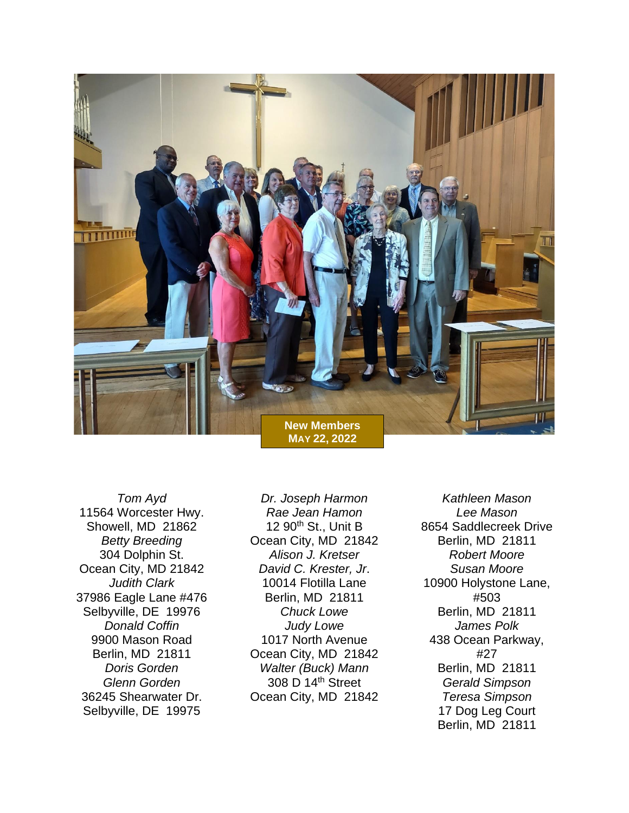

*Tom Ayd* 11564 Worcester Hwy. Showell, MD 21862 *Betty Breeding* 304 Dolphin St. Ocean City, MD 21842 *Judith Clark* 37986 Eagle Lane #476 Selbyville, DE 19976 *Donald Coffin* 9900 Mason Road Berlin, MD 21811 *Doris Gorden Glenn Gorden* 36245 Shearwater Dr. Selbyville, DE 19975

*Dr. Joseph Harmon Rae Jean Hamon* 12 90th St., Unit B Ocean City, MD 21842 *Alison J. Kretser David C. Krester, Jr*. 10014 Flotilla Lane Berlin, MD 21811 *Chuck Lowe Judy Lowe* 1017 North Avenue Ocean City, MD 21842 *Walter (Buck) Mann* 308 D 14th Street Ocean City, MD 21842

*Kathleen Mason Lee Mason* 8654 Saddlecreek Drive Berlin, MD 21811 *Robert Moore Susan Moore* 10900 Holystone Lane, #503 Berlin, MD 21811 *James Polk* 438 Ocean Parkway, #27 Berlin, MD 21811 *Gerald Simpson Teresa Simpson* 17 Dog Leg Court Berlin, MD 21811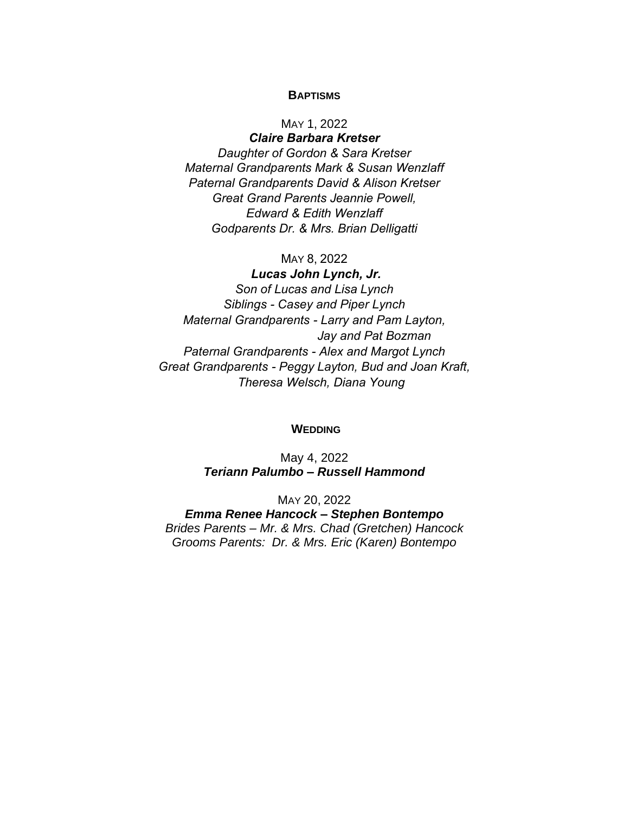#### **BAPTISMS**

#### MAY 1, 2022

*Claire Barbara Kretser Daughter of Gordon & Sara Kretser Maternal Grandparents Mark & Susan Wenzlaff Paternal Grandparents David & Alison Kretser Great Grand Parents Jeannie Powell, Edward & Edith Wenzlaff Godparents Dr. & Mrs. Brian Delligatti* 

#### MAY 8, 2022

*Lucas John Lynch, Jr. Son of Lucas and Lisa Lynch Siblings - Casey and Piper Lynch Maternal Grandparents - Larry and Pam Layton, Jay and Pat Bozman Paternal Grandparents - Alex and Margot Lynch Great Grandparents - Peggy Layton, Bud and Joan Kraft, Theresa Welsch, Diana Young*

#### **WEDDING**

May 4, 2022 *Teriann Palumbo – Russell Hammond*

MAY 20, 2022

*Emma Renee Hancock – Stephen Bontempo Brides Parents – Mr. & Mrs. Chad (Gretchen) Hancock Grooms Parents: Dr. & Mrs. Eric (Karen) Bontempo*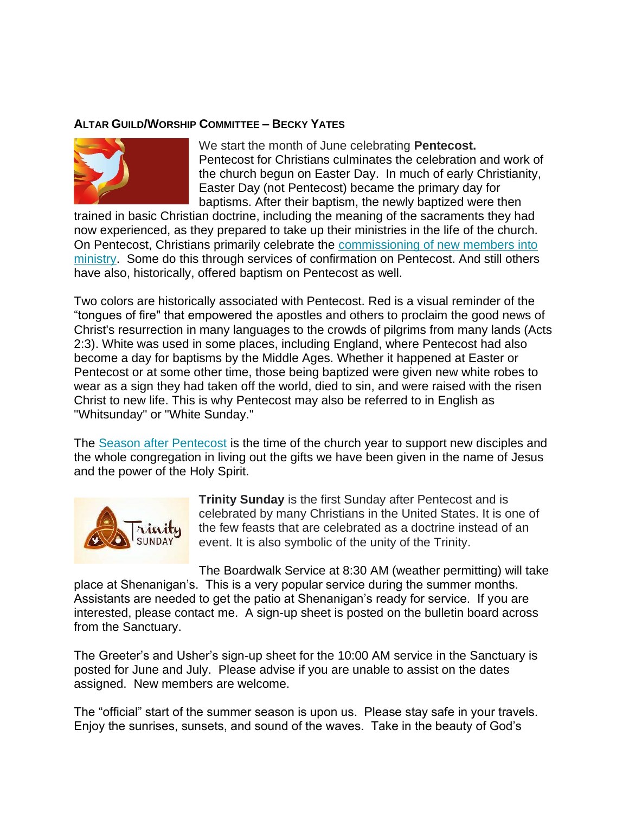### **ALTAR GUILD/WORSHIP COMMITTEE – BECKY YATES**



We start the month of June celebrating **Pentecost.** Pentecost for Christians culminates the celebration and work of the church begun on Easter Day. In much of early Christianity, Easter Day (not Pentecost) became the primary day for baptisms. After their baptism, the newly baptized were then

trained in basic Christian doctrine, including the meaning of the sacraments they had now experienced, as they prepared to take up their ministries in the life of the church. On Pentecost, Christians primarily celebrate the [commissioning of new members into](https://www.umcdiscipleship.org/resources/pentecost-commissioning-of-laypersons-for-ministry-in-christs-name)  [ministry.](https://www.umcdiscipleship.org/resources/pentecost-commissioning-of-laypersons-for-ministry-in-christs-name) Some do this through services of confirmation on Pentecost. And still others have also, historically, offered baptism on Pentecost as well.

Two colors are historically associated with Pentecost. Red is a visual reminder of the "tongues of fire" that empowered the apostles and others to proclaim the good news of Christ's resurrection in many languages to the crowds of pilgrims from many lands (Acts 2:3). White was used in some places, including England, where Pentecost had also become a day for baptisms by the Middle Ages. Whether it happened at Easter or Pentecost or at some other time, those being baptized were given new white robes to wear as a sign they had taken off the world, died to sin, and were raised with the risen Christ to new life. This is why Pentecost may also be referred to in English as "Whitsunday" or "White Sunday."

The [Season after Pentecost](https://www.umc.org/en/content/ask-the-umc-when-is-easter-over-what-comes-next) is the time of the church year to support new disciples and the whole congregation in living out the gifts we have been given in the name of Jesus and the power of the Holy Spirit.



**Trinity Sunday** is the first Sunday after Pentecost and is celebrated by many Christians in the United States. It is one of the few feasts that are celebrated as a doctrine instead of an event. It is also symbolic of the unity of the Trinity.

The Boardwalk Service at 8:30 AM (weather permitting) will take place at Shenanigan's. This is a very popular service during the summer months. Assistants are needed to get the patio at Shenanigan's ready for service. If you are interested, please contact me. A sign-up sheet is posted on the bulletin board across from the Sanctuary.

The Greeter's and Usher's sign-up sheet for the 10:00 AM service in the Sanctuary is posted for June and July. Please advise if you are unable to assist on the dates assigned. New members are welcome.

The "official" start of the summer season is upon us. Please stay safe in your travels. Enjoy the sunrises, sunsets, and sound of the waves. Take in the beauty of God's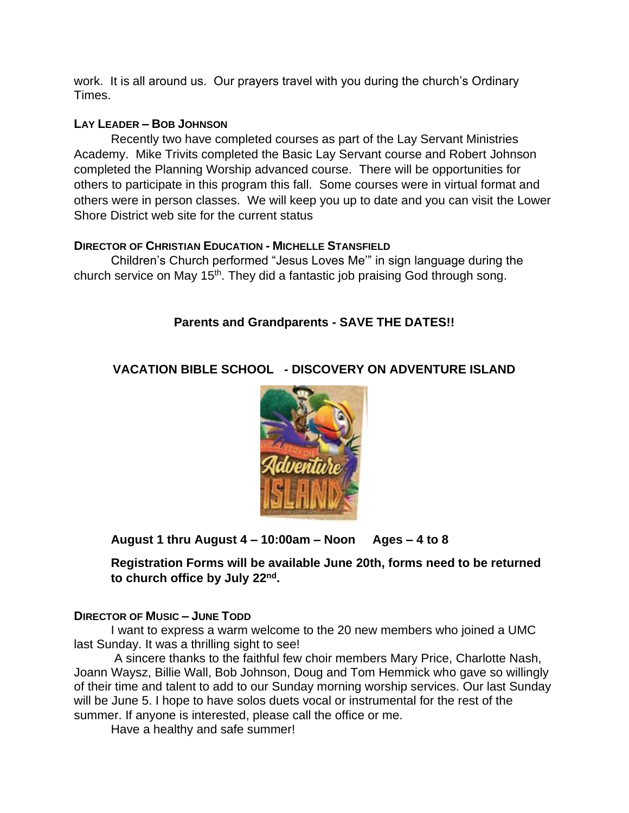work. It is all around us. Our prayers travel with you during the church's Ordinary Times.

# **LAY LEADER – BOB JOHNSON**

Recently two have completed courses as part of the Lay Servant Ministries Academy. Mike Trivits completed the Basic Lay Servant course and Robert Johnson completed the Planning Worship advanced course. There will be opportunities for others to participate in this program this fall. Some courses were in virtual format and others were in person classes. We will keep you up to date and you can visit the Lower Shore District web site for the current status

# **DIRECTOR OF CHRISTIAN EDUCATION - MICHELLE STANSFIELD**

Children's Church performed "Jesus Loves Me'" in sign language during the church service on May 15<sup>th</sup>. They did a fantastic job praising God through song.

# **Parents and Grandparents - SAVE THE DATES!!**

# **VACATION BIBLE SCHOOL - DISCOVERY ON ADVENTURE ISLAND**



**August 1 thru August 4 – 10:00am – Noon Ages – 4 to 8** 

**Registration Forms will be available June 20th, forms need to be returned to church office by July 22nd .** 

# **DIRECTOR OF MUSIC – JUNE TODD**

I want to express a warm welcome to the 20 new members who joined a UMC last Sunday. It was a thrilling sight to see!

A sincere thanks to the faithful few choir members Mary Price, Charlotte Nash, Joann Waysz, Billie Wall, Bob Johnson, Doug and Tom Hemmick who gave so willingly of their time and talent to add to our Sunday morning worship services. Our last Sunday will be June 5. I hope to have solos duets vocal or instrumental for the rest of the summer. If anyone is interested, please call the office or me.

Have a healthy and safe summer!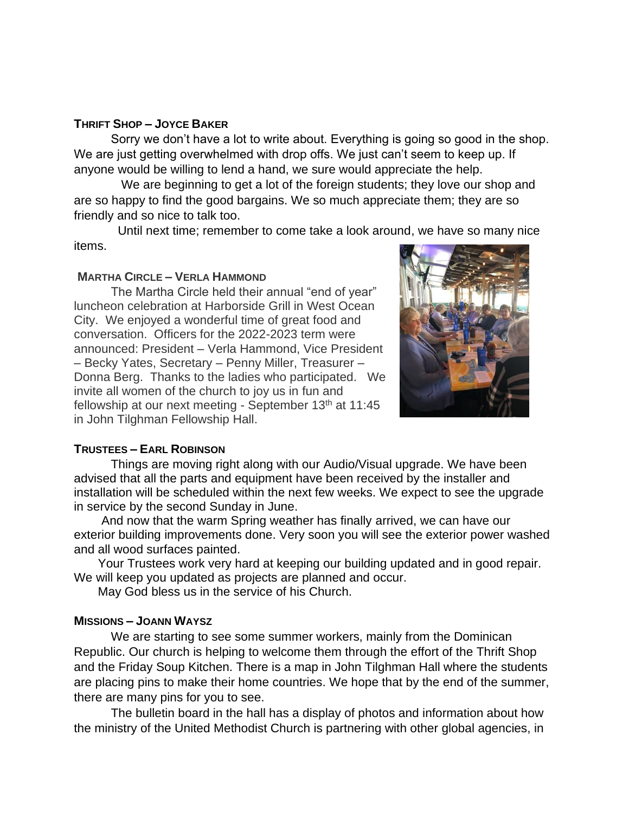#### **THRIFT SHOP – JOYCE BAKER**

Sorry we don't have a lot to write about. Everything is going so good in the shop. We are just getting overwhelmed with drop offs. We just can't seem to keep up. If anyone would be willing to lend a hand, we sure would appreciate the help.

 We are beginning to get a lot of the foreign students; they love our shop and are so happy to find the good bargains. We so much appreciate them; they are so friendly and so nice to talk too.

 Until next time; remember to come take a look around, we have so many nice items.

#### **MARTHA CIRCLE – VERLA HAMMOND**

The Martha Circle held their annual "end of year" luncheon celebration at Harborside Grill in West Ocean City. We enjoyed a wonderful time of great food and conversation. Officers for the 2022-2023 term were announced: President – Verla Hammond, Vice President – Becky Yates, Secretary – Penny Miller, Treasurer – Donna Berg. Thanks to the ladies who participated. We invite all women of the church to joy us in fun and fellowship at our next meeting - September 13<sup>th</sup> at 11:45 in John Tilghman Fellowship Hall.



#### **TRUSTEES – EARL ROBINSON**

Things are moving right along with our Audio/Visual upgrade. We have been advised that all the parts and equipment have been received by the installer and installation will be scheduled within the next few weeks. We expect to see the upgrade in service by the second Sunday in June.

 And now that the warm Spring weather has finally arrived, we can have our exterior building improvements done. Very soon you will see the exterior power washed and all wood surfaces painted.

 Your Trustees work very hard at keeping our building updated and in good repair. We will keep you updated as projects are planned and occur.

May God bless us in the service of his Church.

#### **MISSIONS – JOANN WAYSZ**

We are starting to see some summer workers, mainly from the Dominican Republic. Our church is helping to welcome them through the effort of the Thrift Shop and the Friday Soup Kitchen. There is a map in John Tilghman Hall where the students are placing pins to make their home countries. We hope that by the end of the summer, there are many pins for you to see.

The bulletin board in the hall has a display of photos and information about how the ministry of the United Methodist Church is partnering with other global agencies, in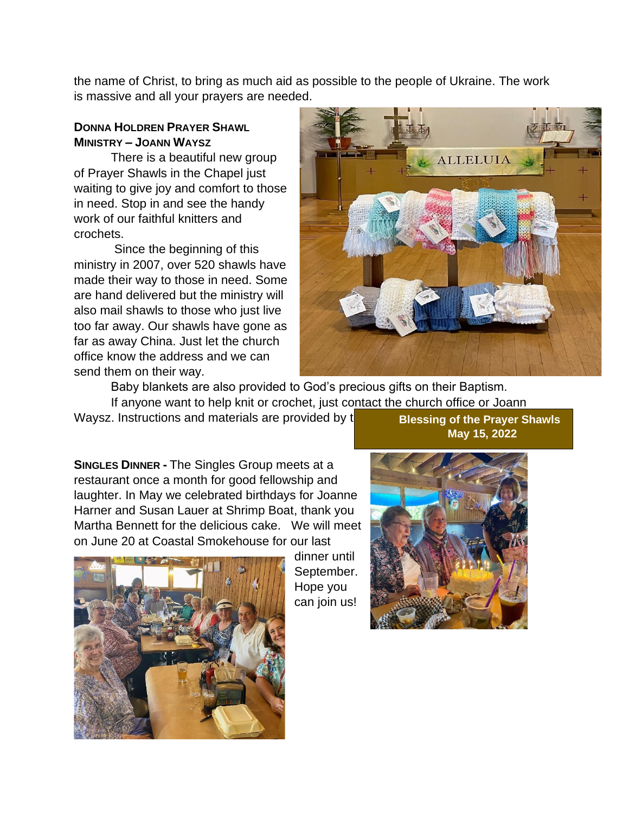the name of Christ, to bring as much aid as possible to the people of Ukraine. The work is massive and all your prayers are needed.

# **DONNA HOLDREN PRAYER SHAWL MINISTRY – JOANN WAYSZ**

There is a beautiful new group of Prayer Shawls in the Chapel just waiting to give joy and comfort to those in need. Stop in and see the handy work of our faithful knitters and crochets.

Since the beginning of this ministry in 2007, over 520 shawls have made their way to those in need. Some are hand delivered but the ministry will also mail shawls to those who just live too far away. Our shawls have gone as far as away China. Just let the church office know the address and we can send them on their way.



Baby blankets are also provided to God's precious gifts on their Baptism. If anyone want to help knit or crochet, just contact the church office or Joann

Waysz. Instructions and materials are provided by t

**Blessing of the Prayer Shawls May 15, 2022**

**SINGLES DINNER -** The Singles Group meets at a restaurant once a month for good fellowship and laughter. In May we celebrated birthdays for Joanne Harner and Susan Lauer at Shrimp Boat, thank you Martha Bennett for the delicious cake. We will meet on June 20 at Coastal Smokehouse for our last



dinner until September. Hope you can join us!

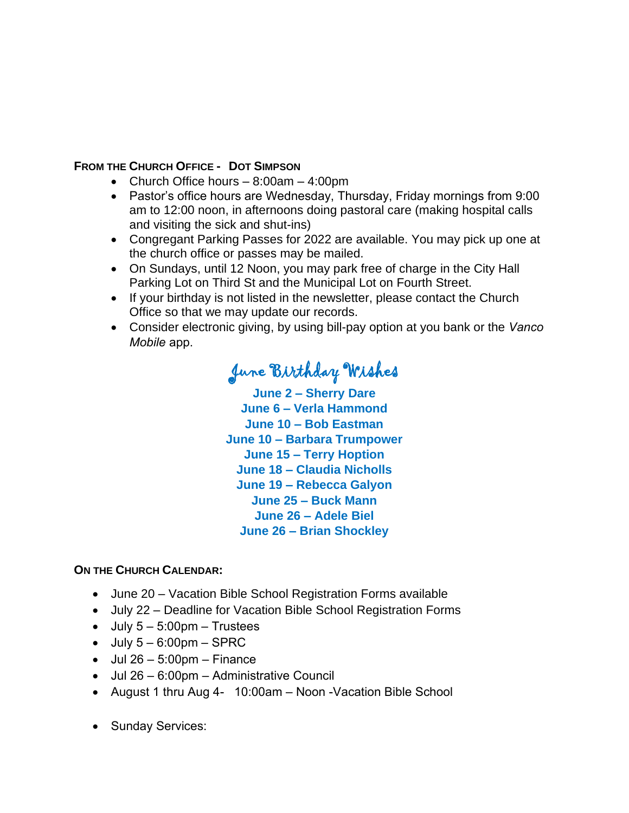# **FROM THE CHURCH OFFICE - DOT SIMPSON**

- Church Office hours 8:00am 4:00pm
- Pastor's office hours are Wednesday, Thursday, Friday mornings from 9:00 am to 12:00 noon, in afternoons doing pastoral care (making hospital calls and visiting the sick and shut-ins)
- Congregant Parking Passes for 2022 are available. You may pick up one at the church office or passes may be mailed.
- On Sundays, until 12 Noon, you may park free of charge in the City Hall Parking Lot on Third St and the Municipal Lot on Fourth Street.
- If your birthday is not listed in the newsletter, please contact the Church Office so that we may update our records.
- Consider electronic giving, by using bill-pay option at you bank or the *Vanco Mobile* app.

# June Birthday Wishes

**June 2 – Sherry Dare June 6 – Verla Hammond June 10 – Bob Eastman June 10 – Barbara Trumpower June 15 – Terry Hoption June 18 – Claudia Nicholls June 19 – Rebecca Galyon June 25 – Buck Mann June 26 – Adele Biel June 26 – Brian Shockley**

# **ON THE CHURCH CALENDAR:**

- June 20 Vacation Bible School Registration Forms available
- July 22 Deadline for Vacation Bible School Registration Forms
- $\bullet$  July  $5 5:00 \text{pm} -$  Trustees
- $\bullet$  July  $5 6:00 \text{pm} \text{SPRC}$
- $\bullet$  Jul 26 5:00pm Finance
- Jul 26 6:00pm Administrative Council
- August 1 thru Aug 4- 10:00am Noon -Vacation Bible School
- Sunday Services: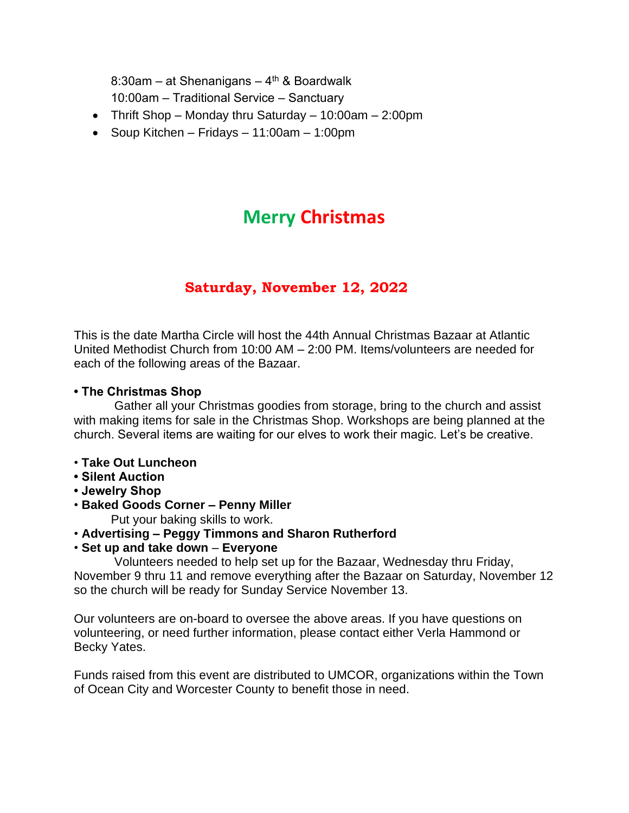8:30am – at Shenanigans – 4<sup>th</sup> & Boardwalk 10:00am – Traditional Service – Sanctuary

- Thrift Shop Monday thru Saturday 10:00am 2:00pm
- Soup Kitchen Fridays 11:00am 1:00pm

# **Merry Christmas**

# **Saturday, November 12, 2022**

This is the date Martha Circle will host the 44th Annual Christmas Bazaar at Atlantic United Methodist Church from 10:00 AM – 2:00 PM. Items/volunteers are needed for each of the following areas of the Bazaar.

# **• The Christmas Shop**

Gather all your Christmas goodies from storage, bring to the church and assist with making items for sale in the Christmas Shop. Workshops are being planned at the church. Several items are waiting for our elves to work their magic. Let's be creative.

- **Take Out Luncheon**
- **Silent Auction**
- **Jewelry Shop**
- **Baked Goods Corner – Penny Miller**

Put your baking skills to work.

# • **Advertising – Peggy Timmons and Sharon Rutherford**

• **Set up and take down** – **Everyone**

Volunteers needed to help set up for the Bazaar, Wednesday thru Friday, November 9 thru 11 and remove everything after the Bazaar on Saturday, November 12 so the church will be ready for Sunday Service November 13.

Our volunteers are on-board to oversee the above areas. If you have questions on volunteering, or need further information, please contact either Verla Hammond or Becky Yates.

Funds raised from this event are distributed to UMCOR, organizations within the Town of Ocean City and Worcester County to benefit those in need.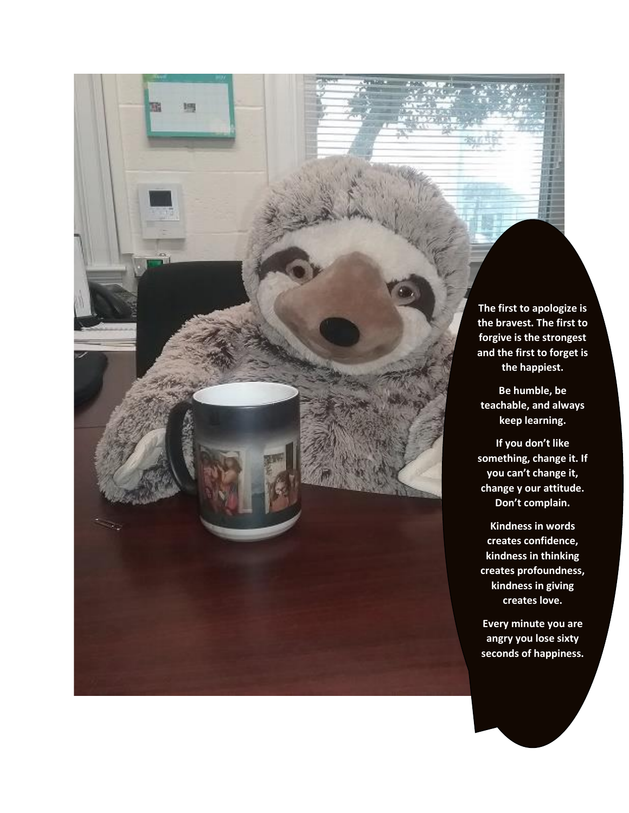**The first to apologize is the bravest. The first to forgive is the strongest and the first to forget is the happiest.**

聡

調

**Be humble, be teachable, and always keep learning.** 

**If you don't like something, change it. If you can't change it, change y our attitude. Don't complain.** 

**Kindness in words creates confidence, kindness in thinking creates profoundness, kindness in giving creates love.** 

**Every minute you are angry you lose sixty seconds of happiness.**